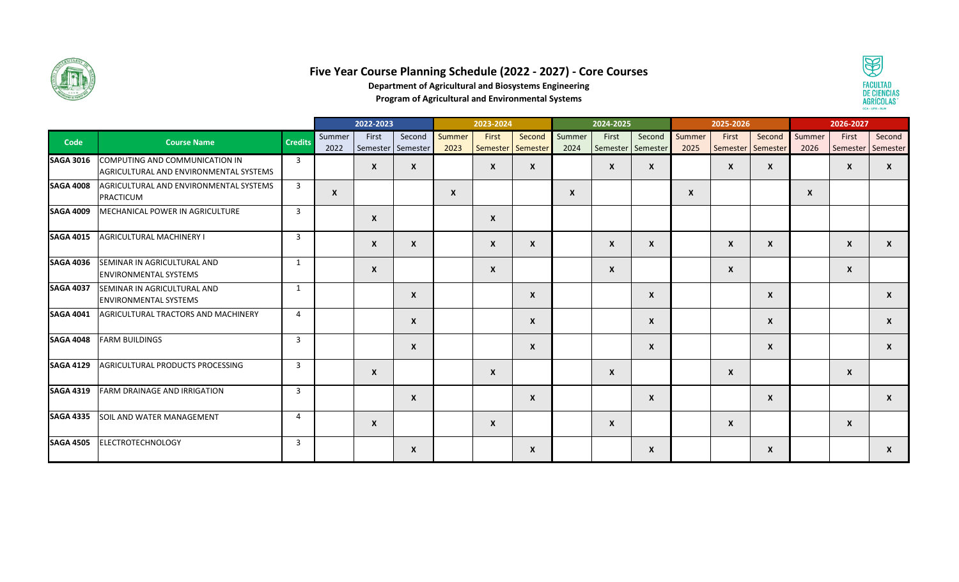

## **Five Year Course Planning Schedule (2022 - 2027) - Core Courses**



**Department of Agricultural and Biosystems Engineering**

**Program of Agricultural and Environmental Systems**

|                  |                                                                          |                | 2022-2023                 |                            |                           | 2023-2024        |                            |                  | 2024-2025        |                            |                  | 2025-2026        |                            |                           | 2026-2027      |                  |                             |
|------------------|--------------------------------------------------------------------------|----------------|---------------------------|----------------------------|---------------------------|------------------|----------------------------|------------------|------------------|----------------------------|------------------|------------------|----------------------------|---------------------------|----------------|------------------|-----------------------------|
| Code             | <b>Course Name</b>                                                       | <b>Credits</b> | Summer<br>2022            | First<br>Semester Semester | Second                    | Summer<br>2023   | First<br>Semester Semester | Second           | Summer<br>2024   | First<br>Semester Semester | Second           | Summer<br>2025   | First<br>Semester Semester | Second                    | Summer<br>2026 | First            | Second<br>Semester Semester |
| <b>SAGA 3016</b> | COMPUTING AND COMMUNICATION IN<br>AGRICULTURAL AND ENVIRONMENTAL SYSTEMS | $\overline{3}$ |                           | $\boldsymbol{x}$           | $\boldsymbol{x}$          |                  | $\boldsymbol{x}$           | X                |                  | $\mathsf{x}$               | $\boldsymbol{x}$ |                  | $\mathsf{x}$               | $\boldsymbol{x}$          |                | $\boldsymbol{x}$ | X                           |
| <b>SAGA 4008</b> | AGRICULTURAL AND ENVIRONMENTAL SYSTEMS<br><b>PRACTICUM</b>               | $\overline{3}$ | $\boldsymbol{\mathsf{x}}$ |                            |                           | $\boldsymbol{x}$ |                            |                  | $\boldsymbol{x}$ |                            |                  | $\boldsymbol{x}$ |                            |                           | X              |                  |                             |
| <b>SAGA 4009</b> | MECHANICAL POWER IN AGRICULTURE                                          | $\overline{3}$ |                           | $\boldsymbol{x}$           |                           |                  | $\boldsymbol{\mathsf{x}}$  |                  |                  |                            |                  |                  |                            |                           |                |                  |                             |
| <b>SAGA 4015</b> | <b>AGRICULTURAL MACHINERY I</b>                                          | $\overline{3}$ |                           | $\mathsf{x}$               | X                         |                  | $\boldsymbol{x}$           | X                |                  | X                          | $\boldsymbol{x}$ |                  | $\mathsf{x}$               | $\boldsymbol{X}$          |                | $\boldsymbol{x}$ | X                           |
| <b>SAGA 4036</b> | SEMINAR IN AGRICULTURAL AND<br><b>ENVIRONMENTAL SYSTEMS</b>              | 1              |                           | $\mathsf{x}$               |                           |                  | $\boldsymbol{x}$           |                  |                  | $\mathsf{x}$               |                  |                  | $\boldsymbol{\mathsf{x}}$  |                           |                | $\mathsf{x}$     |                             |
| <b>SAGA 4037</b> | SEMINAR IN AGRICULTURAL AND<br><b>ENVIRONMENTAL SYSTEMS</b>              | 1              |                           |                            | $\boldsymbol{\mathsf{x}}$ |                  |                            | X                |                  |                            | X                |                  |                            | $\boldsymbol{X}$          |                |                  | X                           |
| <b>SAGA 4041</b> | AGRICULTURAL TRACTORS AND MACHINERY                                      | $\overline{a}$ |                           |                            | $\boldsymbol{\mathsf{x}}$ |                  |                            | $\boldsymbol{x}$ |                  |                            | $\boldsymbol{x}$ |                  |                            | $\boldsymbol{\mathsf{x}}$ |                |                  | $\mathsf{x}$                |
| <b>SAGA 4048</b> | <b>FARM BUILDINGS</b>                                                    | $\overline{3}$ |                           |                            | $\boldsymbol{x}$          |                  |                            | X                |                  |                            | $\boldsymbol{x}$ |                  |                            | $\boldsymbol{x}$          |                |                  | $\mathsf{x}$                |
| <b>SAGA 4129</b> | AGRICULTURAL PRODUCTS PROCESSING                                         | $\overline{3}$ |                           | $\boldsymbol{\mathsf{x}}$  |                           |                  | $\pmb{\chi}$               |                  |                  | X                          |                  |                  | $\boldsymbol{\mathsf{x}}$  |                           |                | $\pmb{\chi}$     |                             |
| <b>SAGA 4319</b> | <b>FARM DRAINAGE AND IRRIGATION</b>                                      | $\overline{3}$ |                           |                            | $\boldsymbol{x}$          |                  |                            | X                |                  |                            | $\mathsf{x}$     |                  |                            | $\boldsymbol{x}$          |                |                  | $\mathsf{x}$                |
| <b>SAGA 4335</b> | SOIL AND WATER MANAGEMENT                                                | $\overline{a}$ |                           | $\boldsymbol{x}$           |                           |                  | $\boldsymbol{x}$           |                  |                  | $\mathsf{x}$               |                  |                  | $\mathsf{x}$               |                           |                | $\mathsf{x}$     |                             |
| <b>SAGA 4505</b> | <b>ELECTROTECHNOLOGY</b>                                                 | $\overline{3}$ |                           |                            | $\boldsymbol{x}$          |                  |                            | X                |                  |                            | X                |                  |                            | $\boldsymbol{x}$          |                |                  | $\mathsf{x}$                |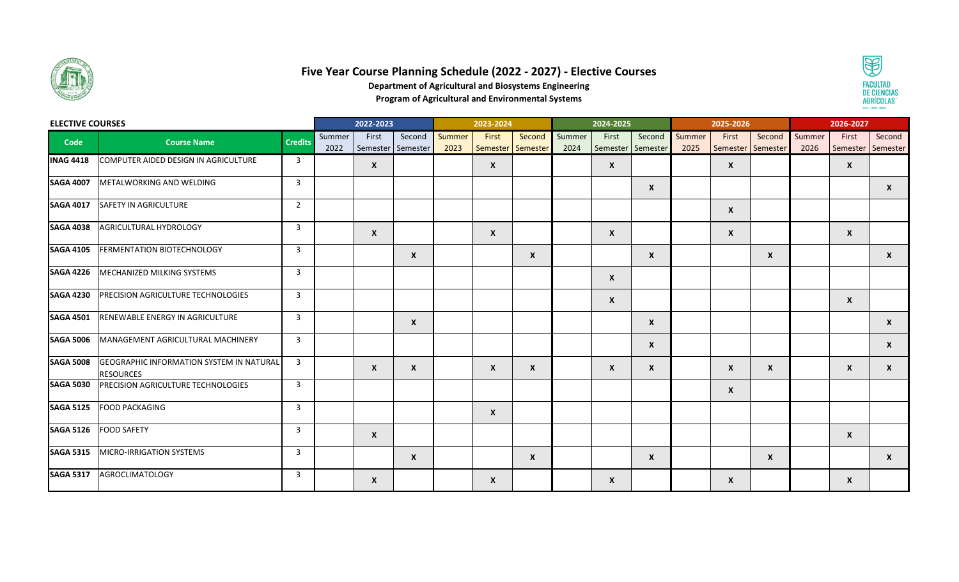

## **Five Year Course Planning Schedule (2022 - 2027) - Elective Courses**



**Department of Agricultural and Biosystems Engineering**

**Program of Agricultural and Environmental Systems**

| <b>ELECTIVE COURSES</b> |                                                                     |                         |                | 2022-2023                 |                             |                | 2023-2024                  |              |                | 2024-2025    |                             |                | 2025-2026                 |                                  |        | 2026-2027                  |              |  |
|-------------------------|---------------------------------------------------------------------|-------------------------|----------------|---------------------------|-----------------------------|----------------|----------------------------|--------------|----------------|--------------|-----------------------------|----------------|---------------------------|----------------------------------|--------|----------------------------|--------------|--|
| Code                    | <b>Course Name</b>                                                  | <b>Credits</b>          | Summer<br>2022 | First                     | Second<br>Semester Semester | Summer<br>2023 | First<br>Semester Semester | Second       | Summer<br>2024 | First        | Second<br>Semester Semester | Summer<br>2025 | First                     | Second<br>Semester Semester 2026 | Summer | First<br>Semester Semester | Second       |  |
| <b>INAG 4418</b>        | COMPUTER AIDED DESIGN IN AGRICULTURE                                | $\overline{\mathbf{3}}$ |                | $\boldsymbol{\mathsf{x}}$ |                             |                | $\mathsf{x}$               |              |                | $\mathsf{x}$ |                             |                | $\boldsymbol{\mathsf{x}}$ |                                  |        | $\boldsymbol{x}$           |              |  |
| <b>SAGA 4007</b>        | METALWORKING AND WELDING                                            | $\overline{3}$          |                |                           |                             |                |                            |              |                |              | $\boldsymbol{x}$            |                |                           |                                  |        |                            | X            |  |
| <b>SAGA 4017</b>        | SAFETY IN AGRICULTURE                                               | 2                       |                |                           |                             |                |                            |              |                |              |                             |                | $\boldsymbol{\mathsf{x}}$ |                                  |        |                            |              |  |
| <b>SAGA 4038</b>        | AGRICULTURAL HYDROLOGY                                              | $\overline{3}$          |                | $\boldsymbol{x}$          |                             |                | $\mathsf{x}$               |              |                | X            |                             |                | $\boldsymbol{\mathsf{x}}$ |                                  |        | $\mathsf{x}$               |              |  |
| <b>SAGA 4105</b>        | <b>FERMENTATION BIOTECHNOLOGY</b>                                   | $\overline{3}$          |                |                           | $\boldsymbol{x}$            |                |                            | $\mathsf{x}$ |                |              | $\boldsymbol{x}$            |                |                           | $\boldsymbol{x}$                 |        |                            | $\mathsf{x}$ |  |
| <b>SAGA 4226</b>        | MECHANIZED MILKING SYSTEMS                                          | $\overline{3}$          |                |                           |                             |                |                            |              |                | X            |                             |                |                           |                                  |        |                            |              |  |
| <b>SAGA 4230</b>        | <b>PRECISION AGRICULTURE TECHNOLOGIES</b>                           | $\overline{3}$          |                |                           |                             |                |                            |              |                | $\mathsf{x}$ |                             |                |                           |                                  |        | $\boldsymbol{\mathsf{x}}$  |              |  |
| <b>SAGA 4501</b>        | <b>RENEWABLE ENERGY IN AGRICULTURE</b>                              | $\overline{3}$          |                |                           | $\mathsf{x}$                |                |                            |              |                |              | $\mathsf{x}$                |                |                           |                                  |        |                            | $\mathsf{x}$ |  |
| <b>SAGA 5006</b>        | MANAGEMENT AGRICULTURAL MACHINERY                                   | $\overline{3}$          |                |                           |                             |                |                            |              |                |              | $\mathsf{x}$                |                |                           |                                  |        |                            | X            |  |
| <b>SAGA 5008</b>        | <b>GEOGRAPHIC INFORMATION SYSTEM IN NATURAL</b><br><b>RESOURCES</b> | $\overline{3}$          |                | $\mathsf{x}$              | $\mathsf{x}$                |                | $\mathsf{x}$               | X            |                | X            | X                           |                | $\boldsymbol{\mathsf{x}}$ | $\mathsf{x}$                     |        | $\boldsymbol{\mathsf{x}}$  | X            |  |
| <b>SAGA 5030</b>        | <b>PRECISION AGRICULTURE TECHNOLOGIES</b>                           | $\overline{3}$          |                |                           |                             |                |                            |              |                |              |                             |                | $\boldsymbol{\mathsf{x}}$ |                                  |        |                            |              |  |
| <b>SAGA 5125</b>        | <b>FOOD PACKAGING</b>                                               | $\overline{3}$          |                |                           |                             |                | $\mathsf{x}$               |              |                |              |                             |                |                           |                                  |        |                            |              |  |
| <b>SAGA 5126</b>        | <b>FOOD SAFETY</b>                                                  | $\overline{3}$          |                | $\boldsymbol{x}$          |                             |                |                            |              |                |              |                             |                |                           |                                  |        | $\boldsymbol{x}$           |              |  |
| <b>SAGA 5315</b>        | MICRO-IRRIGATION SYSTEMS                                            | $\overline{3}$          |                |                           | $\mathbf{x}$                |                |                            | $\mathsf{x}$ |                |              | $\boldsymbol{x}$            |                |                           | $\mathsf{x}$                     |        |                            | $\mathsf{x}$ |  |
| <b>SAGA 5317</b>        | <b>AGROCLIMATOLOGY</b>                                              | $\overline{3}$          |                | X                         |                             |                | $\mathsf{x}$               |              |                | X            |                             |                | $\boldsymbol{\mathsf{x}}$ |                                  |        | $\mathsf{x}$               |              |  |